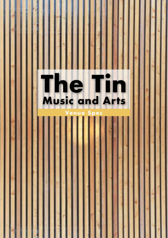## **The Tin Music and Arts** R.

### **Venue Spec**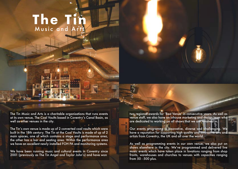# **The Tin** Music and Arts

The Tin Music and Arts is a charitable organisations that runs events at its own venue, The Coal Vaults based in Coventry's Canal Basin, as well as other venues in the city.

The Tin's own venue is made up of 2 converted coal vaults which were built in the 18th century. The Tin at the Coal Vaults is made of up of 2 main spaces, one of which contains a stage and performance area, the other has a bar and seating area. Within the performance area we have an excellent newly installed FOH PA and monitoring systems.

We have been running music and cultural events in Coventry since 2001 (previously as The Tin Angel and Taylor John's) and have won

two regional awards for 'Best Venue' in consecutive years. As well as venue staff, we also have an inhouse marketing and design team who are dedicated to working on all shows that we are involved in.

Our events programme is innovative, diverse and challenging. We have a reputation for supporting high quality and innovative arts and artists from Coventry, the UK and all over the world.

As well as programming events in our own venue, we also put on shows elsewhere in the city. We've programmed and delivered live music events which have taken place in lovations ranging from shop fronts, warehouses and churches to venues with capacities ranging from 50 - 500 plus.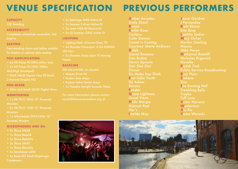# **VENUE SPECIFICATION**

#### **CAPACITY**

#### **ACCESSIBILITY**

load in.

#### **SEATING**

for theatre or cabaret style seating

#### **FOH AMPLIFICATION**

- 4x HK Pulsar PL118FA 600w Subs
- $\bullet$  2x HK Pulsar PL115FA 1000w Mid/High (bi-amped)
- 2-channel Graphic EQ

#### **FOH MIXER**

#### **MONITORING**

- . 1x HK PR:O 10XA 10" Powered **Monitors**
- 2x HK PR:O 12XD 12" Powered **Monitors**
- $\bullet$  1x Wharfedale FVP-X15PM 15" **Powered Monitor**

#### **MICROPHONES AND DIS**

- 9x Shure SM58
- 1x Shure Beta58
- 2x Shure Beta57a
- $\bullet$  3x Shure SM57
- 1x Shure Beta52a
- 3x Sennheiser e604
- **Condensers**
- 2x Behringer DI00 Active DI
- 2x Samson S.direct Active DI
- 2x Leem NDR-40 Passive DI
- 2x LD Systems LDI02 Active DI

#### **LIGHTING**

- Lighting Desk: Chauvet Obey 70
- 4x Showtec Powerspot 6 Q5 RGBWA **LED Pars**
- 2x Showtec Kanjo Spot 10 Moving **Heads**

#### **BACKLINE**

- 
- . Mapex Drum Kit
- Kustom Bass Amps
- 
- 

For more information please contact: sarah@thetinmusicandarts.org.uk

**PREVIOUS PERFORMERS** 

**Amber Arcades Andy Shauf Batsch Caitlin Rose** Caribou **Colin Stetson Comet Is Coming Courtney Marie Andrews Dälek Daniel Romano** Dan Bodan **Devon Sproule** Diel Diel Diel **Dinner** Do Make Say Think **East India Youth Ed Askew Estrons** Fenster Grace Lightman **Great Ytene** Haily Mergia **Hannah Peel** Her's **Imelda May** 

Jacco Gardner **I** Fernandez Kath Bloom Kite Base Laetitia Sadier **Mary Ocher Marker Starling Mauno Mike Heron Nathanial Rateliff** Nicholas Krgovich **Novella Pictish Trail Public Service Broadcasting** Rozi Plain **Sinkane Sivu** The Burning Hell **Trembling Bells** Troyka Tuff Love **Victor Herrera** Westerman **Xiu Xiu** Yama Warashi